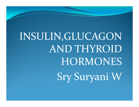INSULIN,GLUCAGON AND THYROID **HORMONES** Sry Suryani W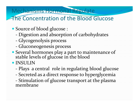#### Mechanisms Hormonal Regulate

### The Concentration of the Blood Glucose

- Source of blood glucose :
	- -Digestion and absorption of carbohydrates
	- Glycogenolysis process
	- Gluconeogenesis process
- Several hormones play a part to maintenance of stable levels of glucose in the blood
- INSULIN
	- Plays a central role in regulating blood glucose
	- Secreted as a direct response to hyperglycemia
	- Stimulation of glucose transport at the plasma<br>membrane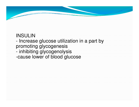

#### INSULIN

#### - Increase glucose utilization in a part by promoting glycogenesis- Inhihiting alveonanolv

- inhibiting glycogenolysis -cause lower of blood glucose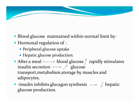

- Blood glucose maintained within normal limit by:
- Hormonal regulation of :
	- Peripheral glucose uptake
	- Hepatic glucose production.
- After a meal  $\longrightarrow$  blood glucose  $\int$  rapidly stimulates insulin secretion  $\longrightarrow \mathcal{J}$  glucose transport,metabolism,storage by muscles and adipocytes.
- $\bullet$  -insulin inhibits glucagon synthesis  $\longrightarrow \emptyset$  hepatic glucose production.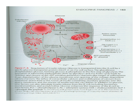#### ENDOCRINE PANCREAS / 163



Figure 7-3. Regulation of insulin release. Glucose is transported into the B-cell by a specific glucose transporter protein (GLUT-2) on the cell surface. The glucokinase phosphorylates glucose, forming glucose-6-phosphate in the first step of glycolysis. The generation of adenosine triphosphate (ATP) by glycolysis and the Krebs cycle leads to inhibition and closure of the ATP-sensitive potassium channels (the target of sulfonylurea drugs), depolarization of the plasma membrane, and opening of the voltage-dependent calcium channels. The influx of extracellular calcium and mobilization of calcium from intracellular stores lead to the fusion of insulin-containing secretory granules with the plasma membrane and the release of insulin into the circulation. In addition to glucose, other factors can also stimulate insulin release from the  $\beta$ -cell, including hormones, neurotransmitters, and acetylcholine. Glucose enhances the response of the B-cell to these factors.  $PLC =$  phospholipase C;  $AC =$  adenylate cyclase;  $CCK =$  cholecystokinin;  $GLP-1$ = glucagon-like peptide-1. (Modified, with permission, from Fajans SS et al. Mechanisms of disease: Molecular mechanisms and clinical pathophysiology of maturity-onset diabetes of the young. N Engl J Med. 2001;345:971.)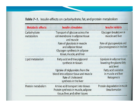#### Table 7-1. Insulin effects on carbohydrate, fat, and protein metabolism

| <b>Metabolic effects</b>   | <b>Insulin stimulates</b>                                                                                                 | <b>Insulin inhibits</b>                                                 |
|----------------------------|---------------------------------------------------------------------------------------------------------------------------|-------------------------------------------------------------------------|
| Carbohydrate<br>metabolism | Transport of glucose across the<br>cell membrane in adipose tissue<br>and muscle.                                         | Glycogen breakdown in<br>muscle and liver                               |
|                            | Rate of glycolysis in muscle<br>and adipose tissue<br>Glycogen synthesis in adipose<br>tissue, muscle, and liver          | Rate of glycogenolysis and<br>gluconeogenesis in the liver              |
| Lipid metabolism           | Fatty acid and triacylglycerol<br>synthesis in tissues                                                                    | Lipolysis in adipose tissue,<br>lowering the plasma fatty<br>acid level |
|                            | Uptake of triglycerides from the<br>blood into adipose tissue and muscle<br>Rate of cholesterol<br>synthesis in the liver | Fatty acid oxidation<br>in muscle and liver<br>Ketogenesis              |
| Protein metabolism         | Amino acid transport into tissues<br>Protein synthesis in muscle, adipose<br>tissue, liver, and other tissues             | Protein degradation in muscle<br>Urea formation                         |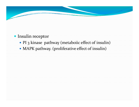

### Insulin receptor

- PI 3 kinase pathway (metaboiic effect of insulin)
- MAPK pathway. (proliferative effect of insulin)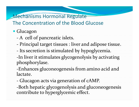### Mechanisms Hormonal Regulate The Concentration of the Blood Glucose

## Glucagon

- -A cell of pancreatic islets.
- Principal target tissues : liver and adipose tissue.
- Its secretion is stimulated by hypoglycemia.
- -In liver it stimulates glycogenolysis by activating phosphorylase.

-Enhances gluconeogenesis from amino acid and lactate.

-Glucagon acts via generation of cAMP.

-Both hepatic glycogenolysis and gluconeogenesis contribute to hyperglycemic effect.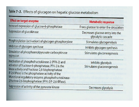#### Table 7-3. Effects of glucagon on hepatic glucose metabolism

### **Effect on target enzyme** Increased expression of glucose-6-phosphatase Suppression of glucokinase

Phosphorylation (activation) of glycogen phosphorylase Inhibition of glycogen synthase Stimulation of phosphoenolpyruvate carboxykinase expression

Inactivation of phosphofructokinase-2 (PFK-2) and activation of fructose-6-phosphatase. PFK-2 is the kinase activity and fructose-2,6-bisphosphatase (F-2,6-8Pase) is the phosphatase activity of the bifunctional regulatory enzyme, phosphofructokinase-2/fructose-2,6-bisphosphatase (PFK-2/F-2,6-BPase).

Suppression of activity of the pyruvate kinase

#### **Metabolic response**

Frees glucose to enter the circulation Decreases glucose entry into the glycolytic cascade

> Stimulates glycogenolysis Inhibits glycogen synthesis Stimulates gluconeogenesis

Inhibits glycolysis Stimulates gluconeogenesis

Decreases glycolysis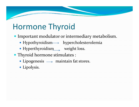# Hormone Thyroid

- Important modulator or intermediary metabolism.
	- Hypothyroidism  $\longrightarrow$  hypercholesterolemia
	- Hyperthyroidism\_\_, weight loss.
- Thyroid hormone stimulates :
	- Lipogenesis  $\longrightarrow$  maintain fat stores.
	- Lipolysis.